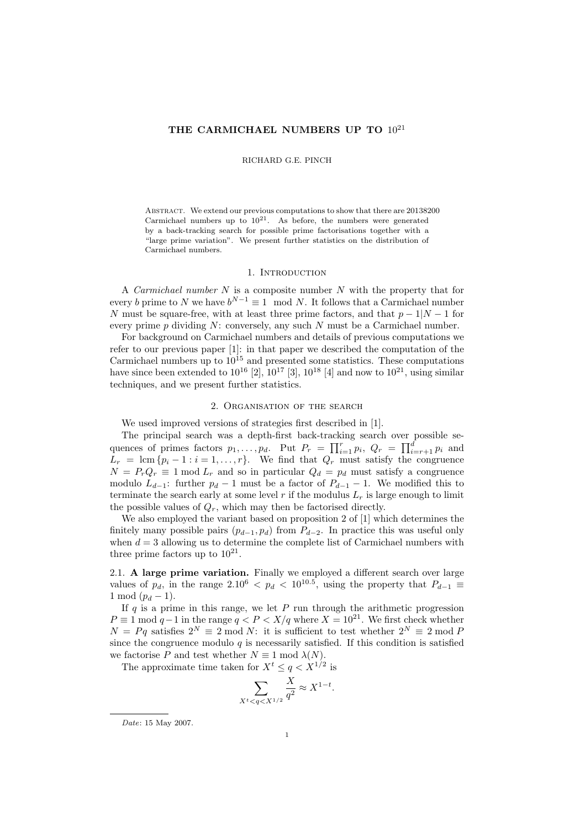# THE CARMICHAEL NUMBERS UP TO  $10^{21}$

### RICHARD G.E. PINCH

Abstract. We extend our previous computations to show that there are 20138200 Carmichael numbers up to  $10^{21}$ . As before, the numbers were generated by a back-tracking search for possible prime factorisations together with a "large prime variation". We present further statistics on the distribution of Carmichael numbers.

## 1. INTRODUCTION

A Carmichael number N is a composite number N with the property that for every b prime to N we have  $b^{N-1} \equiv 1 \mod N$ . It follows that a Carmichael number N must be square-free, with at least three prime factors, and that  $p-1|N-1$  for every prime  $p$  dividing  $N$ : conversely, any such  $N$  must be a Carmichael number.

For background on Carmichael numbers and details of previous computations we refer to our previous paper [1]: in that paper we described the computation of the Carmichael numbers up to  $10^{15}$  and presented some statistics. These computations have since been extended to  $10^{16}$  [2],  $10^{17}$  [3],  $10^{18}$  [4] and now to  $10^{21}$ , using similar techniques, and we present further statistics.

### 2. Organisation of the search

We used improved versions of strategies first described in [1].

The principal search was a depth-first back-tracking search over possible sequences of primes factors  $p_1, \ldots, p_d$ . Put  $P_r = \prod_{i=1}^r p_i$ ,  $Q_r = \prod_{i=r+1}^d p_i$  and  $L_r = \text{lcm } \{p_i - 1 : i = 1, \ldots, r\}.$  We find that  $Q_r$  must satisfy the congruence  $N = P_r Q_r \equiv 1 \mod L_r$  and so in particular  $Q_d = p_d$  must satisfy a congruence modulo  $L_{d-1}$ : further  $p_d - 1$  must be a factor of  $P_{d-1} - 1$ . We modified this to terminate the search early at some level  $r$  if the modulus  $L_r$  is large enough to limit the possible values of  $Q_r$ , which may then be factorised directly.

We also employed the variant based on proposition 2 of [1] which determines the finitely many possible pairs  $(p_{d-1}, p_d)$  from  $P_{d-2}$ . In practice this was useful only when  $d = 3$  allowing us to determine the complete list of Carmichael numbers with three prime factors up to  $10^{21}$ .

2.1. A large prime variation. Finally we employed a different search over large values of  $p_d$ , in the range 2.10<sup>6</sup> <  $p_d$  < 10<sup>10.5</sup>, using the property that  $P_{d-1} \equiv$ 1 mod  $(p_d - 1)$ .

If  $q$  is a prime in this range, we let  $P$  run through the arithmetic progression  $P \equiv 1 \mod q - 1$  in the range  $q < P < X/q$  where  $X = 10^{21}$ . We first check whether  $N = Pq$  satisfies  $2^N \equiv 2 \mod N$ : it is sufficient to test whether  $2^N \equiv 2 \mod P$ since the congruence modulo  $q$  is necessarily satisfied. If this condition is satisfied we factorise P and test whether  $N \equiv 1 \mod \lambda(N)$ .

The approximate time taken for  $X^t \le q < X^{1/2}$  is

$$
\sum_{X^t < q < X^{1/2}} \frac{X}{q^2} \approx X^{1-t}
$$

.

Date: 15 May 2007.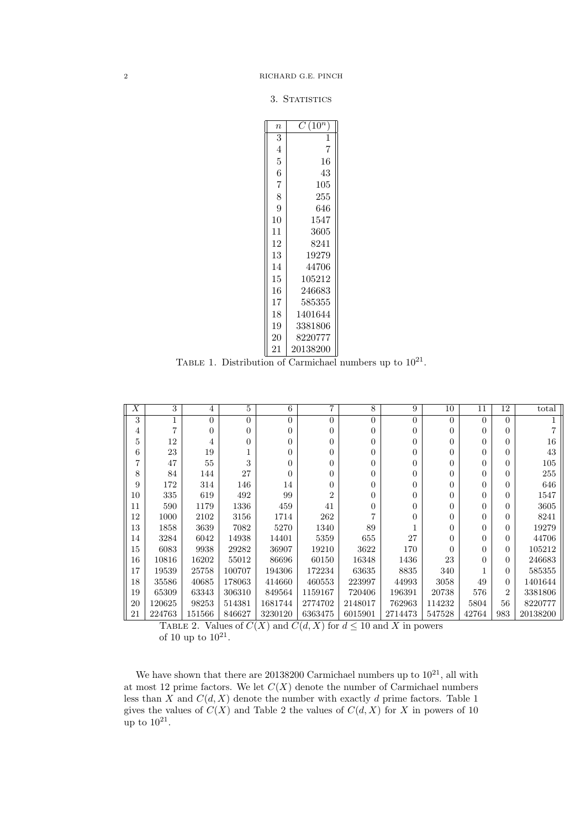3. STATISTICS

| $C(10^n$ |
|----------|
| 1        |
| 7        |
| 16       |
| 43       |
| 105      |
| 255      |
| 646      |
| 1547     |
| 3605     |
| 8241     |
| 19279    |
| 44706    |
| 105212   |
| 246683   |
| 585355   |
| 1401644  |
| 3381806  |
| 8220777  |
| 20138200 |
|          |

TABLE 1. Distribution of Carmichael numbers up to  $10^{21}$ .

| $\boldsymbol{X}$ | 3            | 4              | 5      | 6              | $\overline{7}$ | 8                | 9        | 10             | 11       | 12             | total    |
|------------------|--------------|----------------|--------|----------------|----------------|------------------|----------|----------------|----------|----------------|----------|
| 3                | $\mathbf{1}$ | $\overline{0}$ | 0      | $\overline{0}$ | $\Omega$       | $\theta$         | $\Omega$ | $\theta$       | $\Omega$ | $\Omega$       |          |
| 4                | 7            | $\Omega$       | 0      | $\overline{0}$ | $\Omega$       | $\theta$         | 0        | $\theta$       | $\Omega$ | $\Omega$       |          |
| 5                | 12           | 4              | 0      | $\overline{0}$ | $\Omega$       | $\theta$         | 0        | $\theta$       | $\Omega$ | $\Omega$       | 16       |
| 6                | 23           | 19             |        | $\overline{0}$ | $\Omega$       | $\theta$         | 0        | $\theta$       | $\theta$ | $\theta$       | 43       |
| 7                | 47           | 55             | 3      | $\overline{0}$ | $\Omega$       | $\theta$         | 0        | $\theta$       | $\theta$ | $\Omega$       | 105      |
| 8                | 84           | 144            | 27     | $\overline{0}$ | $\Omega$       | $\boldsymbol{0}$ | 0        | $\overline{0}$ | $\Omega$ | $\Omega$       | 255      |
| 9                | 172          | 314            | 146    | 14             | $\Omega$       | $\boldsymbol{0}$ | 0        | $\theta$       | $\Omega$ | $\Omega$       | 646      |
| 10               | 335          | 619            | 492    | 99             | $\overline{2}$ | $\theta$         | 0        | $\theta$       | $\theta$ | $\Omega$       | 1547     |
| 11               | 590          | 1179           | 1336   | 459            | 41             | $\overline{0}$   | 0        | $\overline{0}$ | $\Omega$ | $\Omega$       | 3605     |
| 12               | 1000         | 2102           | 3156   | 1714           | 262            | 7                | 0        | $\theta$       | $\theta$ | $\theta$       | 8241     |
| 13               | 1858         | 3639           | 7082   | 5270           | 1340           | 89               |          | $\theta$       | $\theta$ | $\Omega$       | 19279    |
| 14               | 3284         | 6042           | 14938  | 14401          | 5359           | 655              | 27       | $\theta$       | $\theta$ | $\Omega$       | 44706    |
| 15               | 6083         | 9938           | 29282  | 36907          | 19210          | 3622             | 170      | $\Omega$       | $\Omega$ | $\overline{0}$ | 105212   |
| 16               | 10816        | 16202          | 55012  | 86696          | 60150          | 16348            | 1436     | 23             | $\theta$ | $\Omega$       | 246683   |
| 17               | 19539        | 25758          | 100707 | 194306         | 172234         | 63635            | 8835     | 340            |          | $\overline{0}$ | 585355   |
| 18               | 35586        | 40685          | 178063 | 414660         | 460553         | 223997           | 44993    | 3058           | 49       | $\overline{0}$ | 1401644  |
| 19               | 65309        | 63343          | 306310 | 849564         | 1159167        | 720406           | 196391   | 20738          | 576      | $\overline{2}$ | 3381806  |
| 20               | 120625       | 98253          | 514381 | 1681744        | 2774702        | 2148017          | 762963   | 114232         | 5804     | 56             | 8220777  |
| 21               | 224763       | 151566         | 846627 | 3230120        | 6363475        | 6015901          | 2714473  | 547528         | 42764    | 983            | 20138200 |

TABLE 2. Values of  $C(X)$  and  $C(d, X)$  for  $d \leq 10$  and X in powers of 10 up to  $10^{21}$ .

We have shown that there are Carmichael numbers up to  $10^{21}$ , all with at most 12 prime factors. We let  $C(X)$  denote the number of Carmichael numbers less than  $X$  and  $C(d, X)$  denote the number with exactly d prime factors. Table 1 gives the values of  $C(X)$  and Table 2 the values of  $C(d, X)$  for X in powers of 10 up to  $10^{21}$ .